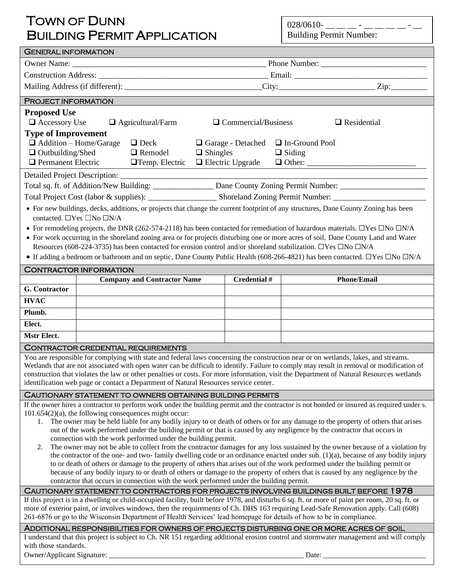## TOWN OF DUNN BUILDING PERMIT APPLICATION

028/0610- \_\_ \_\_ \_ - \_\_ \_\_ \_\_ - \_\_ - \_\_ Building Permit Number:

| <b>GENERAL INFORMATION</b>                                                                                                                                                                                                                                                  |                                                                                                 |                                                           |  |                                                               |                                                                                                                                                        |  |  |  |
|-----------------------------------------------------------------------------------------------------------------------------------------------------------------------------------------------------------------------------------------------------------------------------|-------------------------------------------------------------------------------------------------|-----------------------------------------------------------|--|---------------------------------------------------------------|--------------------------------------------------------------------------------------------------------------------------------------------------------|--|--|--|
|                                                                                                                                                                                                                                                                             |                                                                                                 |                                                           |  |                                                               |                                                                                                                                                        |  |  |  |
|                                                                                                                                                                                                                                                                             |                                                                                                 |                                                           |  |                                                               |                                                                                                                                                        |  |  |  |
|                                                                                                                                                                                                                                                                             |                                                                                                 |                                                           |  |                                                               | $\text{City:}\_$                                                                                                                                       |  |  |  |
| PROJECT INFORMATION                                                                                                                                                                                                                                                         |                                                                                                 |                                                           |  |                                                               |                                                                                                                                                        |  |  |  |
| <b>Proposed Use</b><br>$\Box$ Accessory Use<br>$\Box$ Agricultural/Farm<br>$\Box$ Commercial/Business<br>$\Box$ Residential                                                                                                                                                 |                                                                                                 |                                                           |  |                                                               |                                                                                                                                                        |  |  |  |
| <b>Type of Improvement</b>                                                                                                                                                                                                                                                  |                                                                                                 |                                                           |  |                                                               |                                                                                                                                                        |  |  |  |
| $\Box$ Addition – Home/Garage<br>$\Box$ Deck                                                                                                                                                                                                                                |                                                                                                 |                                                           |  | In-Ground Pool<br>$\Box$ Garage - Detached<br>$\Box$ Shingles |                                                                                                                                                        |  |  |  |
|                                                                                                                                                                                                                                                                             | $\Box$ Outbuilding/Shed<br>$\Box$ Remodel<br>$\Box$ Permanent Electric<br>$\Box$ Temp. Electric |                                                           |  | $\Box$ Electric Upgrade                                       | $\Box$ Siding                                                                                                                                          |  |  |  |
|                                                                                                                                                                                                                                                                             |                                                                                                 |                                                           |  |                                                               |                                                                                                                                                        |  |  |  |
| Total sq. ft. of Addition/New Building: _________________ Dane County Zoning Permit Number: __________________                                                                                                                                                              |                                                                                                 |                                                           |  |                                                               |                                                                                                                                                        |  |  |  |
|                                                                                                                                                                                                                                                                             |                                                                                                 |                                                           |  |                                                               |                                                                                                                                                        |  |  |  |
| • For new buildings, decks, additions, or projects that change the current footprint of any structures, Dane County Zoning has been<br>contacted. □Yes □No □N/A                                                                                                             |                                                                                                 |                                                           |  |                                                               |                                                                                                                                                        |  |  |  |
|                                                                                                                                                                                                                                                                             |                                                                                                 |                                                           |  |                                                               | • For remodeling projects, the DNR (262-574-2118) has been contacted for remediation of hazardous materials. $\Box$ Yes $\Box$ No $\Box N/A$           |  |  |  |
|                                                                                                                                                                                                                                                                             |                                                                                                 |                                                           |  |                                                               | • For work occurring in the shoreland zoning area or for projects disturbing one or more acres of soil, Dane County Land and Water                     |  |  |  |
|                                                                                                                                                                                                                                                                             |                                                                                                 |                                                           |  |                                                               | Resources (608-224-3735) has been contacted for erosion control and/or shoreland stabilization. $\Box$ Yes $\Box$ No $\Box$ N/A                        |  |  |  |
|                                                                                                                                                                                                                                                                             |                                                                                                 |                                                           |  |                                                               | • If adding a bedroom or bathroom and on septic, Dane County Public Health (608-266-4821) has been contacted. $\square$ Yes $\square$ No $\square N/A$ |  |  |  |
| <b>CONTRACTOR INFORMATION</b>                                                                                                                                                                                                                                               |                                                                                                 |                                                           |  | Credential #                                                  | <b>Phone/Email</b>                                                                                                                                     |  |  |  |
| <b>G.</b> Contractor                                                                                                                                                                                                                                                        |                                                                                                 | <b>Company and Contractor Name</b>                        |  |                                                               |                                                                                                                                                        |  |  |  |
| <b>HVAC</b>                                                                                                                                                                                                                                                                 |                                                                                                 |                                                           |  |                                                               |                                                                                                                                                        |  |  |  |
| Plumb.                                                                                                                                                                                                                                                                      |                                                                                                 |                                                           |  |                                                               |                                                                                                                                                        |  |  |  |
| Elect.                                                                                                                                                                                                                                                                      |                                                                                                 |                                                           |  |                                                               |                                                                                                                                                        |  |  |  |
| Mstr Elect.                                                                                                                                                                                                                                                                 |                                                                                                 |                                                           |  |                                                               |                                                                                                                                                        |  |  |  |
|                                                                                                                                                                                                                                                                             |                                                                                                 | <b>CONTRACTOR CREDENTIAL REQUIREMENTS</b>                 |  |                                                               |                                                                                                                                                        |  |  |  |
|                                                                                                                                                                                                                                                                             |                                                                                                 |                                                           |  |                                                               | You are responsible for complying with state and federal laws concerning the construction near or on wetlands, lakes, and streams.                     |  |  |  |
|                                                                                                                                                                                                                                                                             |                                                                                                 |                                                           |  |                                                               | Wetlands that are not associated with open water can be difficult to identify. Failure to comply may result in removal or modification of              |  |  |  |
| construction that violates the law or other penalties or costs. For more information, visit the Department of Natural Resources wetlands<br>identification web page or contact a Department of Natural Resources service center.                                            |                                                                                                 |                                                           |  |                                                               |                                                                                                                                                        |  |  |  |
|                                                                                                                                                                                                                                                                             |                                                                                                 | CAUTIONARY STATEMENT TO OWNERS OBTAINING BUILDING PERMITS |  |                                                               |                                                                                                                                                        |  |  |  |
|                                                                                                                                                                                                                                                                             |                                                                                                 |                                                           |  |                                                               | If the owner hires a contractor to perform work under the building permit and the contractor is not bonded or insured as required under s.             |  |  |  |
| $101.654(2)(a)$ , the following consequences might occur:<br>The owner may be held liable for any bodily injury to or death of others or for any damage to the property of others that arises<br>1.                                                                         |                                                                                                 |                                                           |  |                                                               |                                                                                                                                                        |  |  |  |
| out of the work performed under the building permit or that is caused by any negligence by the contractor that occurs in                                                                                                                                                    |                                                                                                 |                                                           |  |                                                               |                                                                                                                                                        |  |  |  |
| connection with the work performed under the building permit.                                                                                                                                                                                                               |                                                                                                 |                                                           |  |                                                               |                                                                                                                                                        |  |  |  |
| The owner may not be able to collect from the contractor damages for any loss sustained by the owner because of a violation by<br>2.<br>the contractor of the one- and two- family dwelling code or an ordinance enacted under sub. $(1)(a)$ , because of any bodily injury |                                                                                                 |                                                           |  |                                                               |                                                                                                                                                        |  |  |  |
| to or death of others or damage to the property of others that arises out of the work performed under the building permit or                                                                                                                                                |                                                                                                 |                                                           |  |                                                               |                                                                                                                                                        |  |  |  |
| because of any bodily injury to or death of others or damage to the property of others that is caused by any negligence by the<br>contractor that occurs in connection with the work performed under the building permit.                                                   |                                                                                                 |                                                           |  |                                                               |                                                                                                                                                        |  |  |  |
| CAUTIONARY STATEMENT TO CONTRACTORS FOR PROJECTS INVOLVING BUILDINGS BUILT BEFORE 1978                                                                                                                                                                                      |                                                                                                 |                                                           |  |                                                               |                                                                                                                                                        |  |  |  |
| If this project is in a dwelling or child-occupied facility, built before 1978, and disturbs 6 sq. ft. or more of paint per room, 20 sq. ft. or                                                                                                                             |                                                                                                 |                                                           |  |                                                               |                                                                                                                                                        |  |  |  |
| more of exterior paint, or involves windows, then the requirements of Ch. DHS 163 requiring Lead-Safe Renovation apply. Call (608)<br>261-6876 or go to the Wisconsin Department of Health Services' lead homepage for details of how to be in compliance.                  |                                                                                                 |                                                           |  |                                                               |                                                                                                                                                        |  |  |  |
|                                                                                                                                                                                                                                                                             |                                                                                                 |                                                           |  |                                                               | ADDITIONAL RESPONSIBILITIES FOR OWNERS OF PROJECTS DISTURBING ONE OR MORE ACRES OF SOIL                                                                |  |  |  |
|                                                                                                                                                                                                                                                                             |                                                                                                 |                                                           |  |                                                               | I understand that this project is subject to Ch. NR 151 regarding additional erosion control and stormwater management and will comply                 |  |  |  |
| with those standards.                                                                                                                                                                                                                                                       |                                                                                                 |                                                           |  |                                                               |                                                                                                                                                        |  |  |  |

Owner/Applicant Signature: \_\_\_\_\_\_\_\_\_\_\_\_\_\_\_\_\_\_\_\_\_\_\_\_\_\_\_\_\_\_\_\_\_\_\_\_\_\_\_\_\_\_\_\_\_\_\_\_\_\_\_\_\_ Date: \_\_\_\_\_\_\_\_\_\_\_\_\_\_\_\_\_\_\_\_\_\_\_\_\_\_\_\_